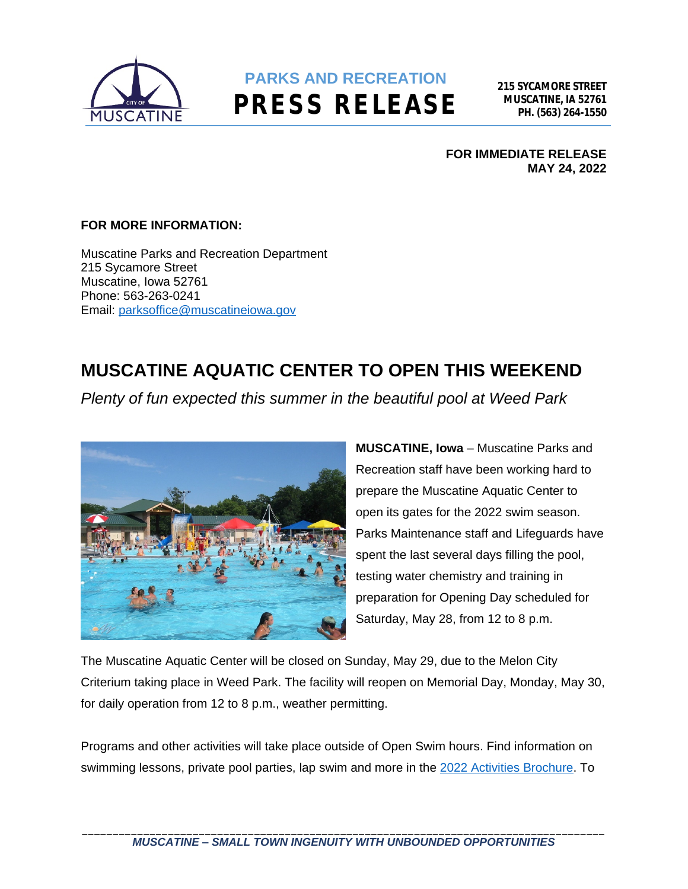

## **PARKS AND RECREATION PRESS RELEASE**

**FOR IMMEDIATE RELEASE MAY 24, 2022**

## **FOR MORE INFORMATION:**

Muscatine Parks and Recreation Department 215 Sycamore Street Muscatine, Iowa 52761 Phone: 563-263-0241 Email: [parksoffice@muscatineiowa.gov](mailto:parksoffice@muscatineiowa.gov)

## **MUSCATINE AQUATIC CENTER TO OPEN THIS WEEKEND**

*Plenty of fun expected this summer in the beautiful pool at Weed Park*



**MUSCATINE, Iowa** – Muscatine Parks and Recreation staff have been working hard to prepare the Muscatine Aquatic Center to open its gates for the 2022 swim season. Parks Maintenance staff and Lifeguards have spent the last several days filling the pool, testing water chemistry and training in preparation for Opening Day scheduled for Saturday, May 28, from 12 to 8 p.m.

The Muscatine Aquatic Center will be closed on Sunday, May 29, due to the Melon City Criterium taking place in Weed Park. The facility will reopen on Memorial Day, Monday, May 30, for daily operation from 12 to 8 p.m., weather permitting.

Programs and other activities will take place outside of Open Swim hours. Find information on swimming lessons, private pool parties, lap swim and more in the [2022 Activities Brochure](http://www.muscatineiowa.gov/DocumentCenter/View/9300). To